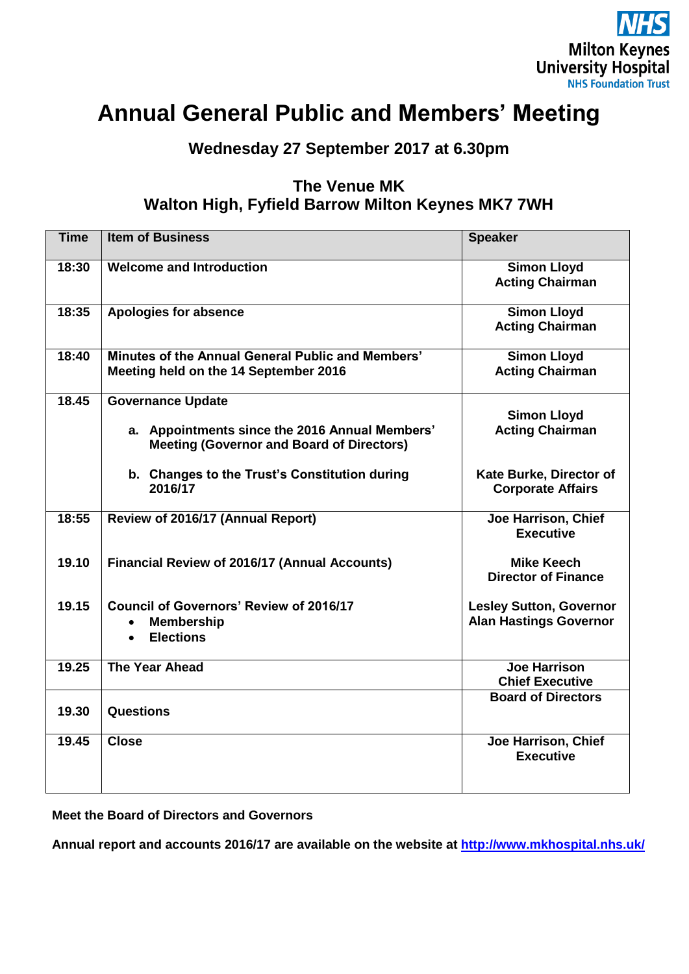

# **Annual General Public and Members' Meeting**

**Wednesday 27 September 2017 at 6.30pm**

## **The Venue MK Walton High, Fyfield Barrow Milton Keynes MK7 7WH**

| <b>Time</b> | <b>Item of Business</b>                                                                                                        | <b>Speaker</b>                                                  |
|-------------|--------------------------------------------------------------------------------------------------------------------------------|-----------------------------------------------------------------|
| 18:30       | <b>Welcome and Introduction</b>                                                                                                | <b>Simon Lloyd</b><br><b>Acting Chairman</b>                    |
| 18:35       | <b>Apologies for absence</b>                                                                                                   | <b>Simon Lloyd</b><br><b>Acting Chairman</b>                    |
| 18:40       | Minutes of the Annual General Public and Members'<br>Meeting held on the 14 September 2016                                     | <b>Simon Lloyd</b><br><b>Acting Chairman</b>                    |
| 18.45       | <b>Governance Update</b><br>a. Appointments since the 2016 Annual Members'<br><b>Meeting (Governor and Board of Directors)</b> | <b>Simon Lloyd</b><br><b>Acting Chairman</b>                    |
|             | b. Changes to the Trust's Constitution during<br>2016/17                                                                       | Kate Burke, Director of<br><b>Corporate Affairs</b>             |
| 18:55       | Review of 2016/17 (Annual Report)                                                                                              | Joe Harrison, Chief<br><b>Executive</b>                         |
| 19.10       | <b>Financial Review of 2016/17 (Annual Accounts)</b>                                                                           | <b>Mike Keech</b><br><b>Director of Finance</b>                 |
| 19.15       | <b>Council of Governors' Review of 2016/17</b><br><b>Membership</b><br>$\bullet$<br><b>Elections</b><br>$\bullet$              | <b>Lesley Sutton, Governor</b><br><b>Alan Hastings Governor</b> |
| 19.25       | <b>The Year Ahead</b>                                                                                                          | <b>Joe Harrison</b><br><b>Chief Executive</b>                   |
| 19.30       | <b>Questions</b>                                                                                                               | <b>Board of Directors</b>                                       |
| 19.45       | <b>Close</b>                                                                                                                   | Joe Harrison, Chief<br><b>Executive</b>                         |

**Meet the Board of Directors and Governors**

**Annual report and accounts 2016/17 are available on the website at <http://www.mkhospital.nhs.uk/>**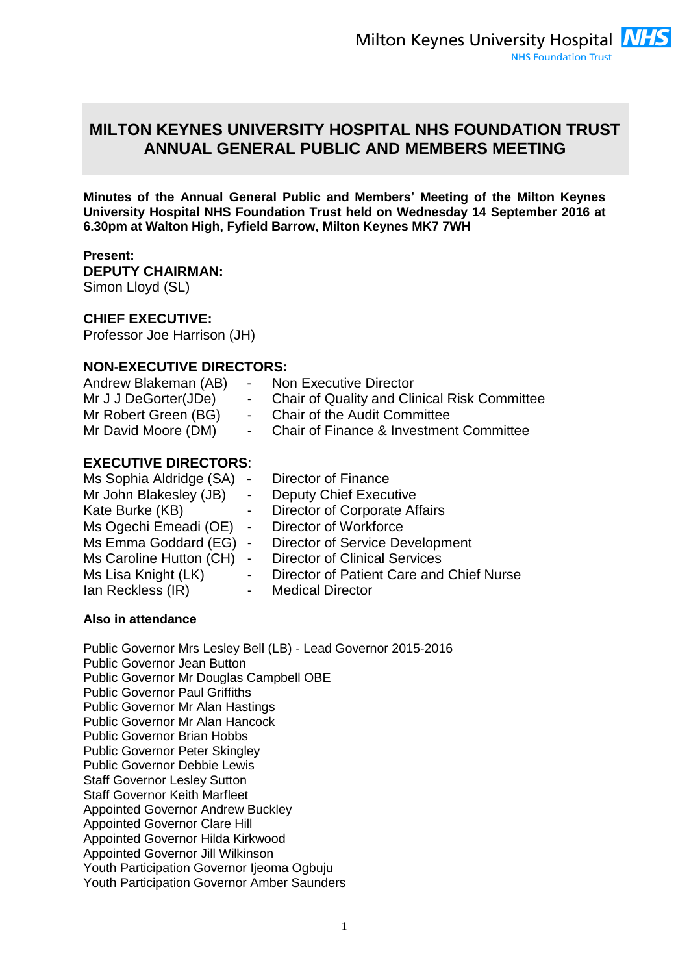## **MILTON KEYNES UNIVERSITY HOSPITAL NHS FOUNDATION TRUST ANNUAL GENERAL PUBLIC AND MEMBERS MEETING**

**Minutes of the Annual General Public and Members' Meeting of the Milton Keynes University Hospital NHS Foundation Trust held on Wednesday 14 September 2016 at 6.30pm at Walton High, Fyfield Barrow, Milton Keynes MK7 7WH** 

#### **Present: DEPUTY CHAIRMAN:**  Simon Lloyd (SL)

#### **CHIEF EXECUTIVE:**

Professor Joe Harrison (JH)

### **NON-EXECUTIVE DIRECTORS:**

| Andrew Blakeman (AB)        |                              | <b>Non Executive Director</b>                       |
|-----------------------------|------------------------------|-----------------------------------------------------|
| Mr J J DeGorter(JDe)        | ۰.                           | <b>Chair of Quality and Clinical Risk Committee</b> |
| Mr Robert Green (BG)        | $\overline{\phantom{a}}$     | <b>Chair of the Audit Committee</b>                 |
| Mr David Moore (DM)         | $-$                          | <b>Chair of Finance &amp; Investment Committee</b>  |
| <b>EXECUTIVE DIRECTORS:</b> |                              |                                                     |
| Ms Sophia Aldridge (SA)     | $\qquad \qquad \blacksquare$ | Director of Finance                                 |
| Mr John Blakesley (JB)      | $\sim 10$                    | <b>Deputy Chief Executive</b>                       |
| Kate Burke (KB)             | -                            | <b>Director of Corporate Affairs</b>                |
| Ms Ogechi Emeadi (OE)       | $\qquad \qquad \blacksquare$ | Director of Workforce                               |
| Ms Emma Goddard (EG)        |                              | - Director of Service Development                   |
| Ms Caroline Hutton (CH)     |                              | - Director of Clinical Services                     |

Ms Lisa Knight (LK) - Director of Patient Care and Chief Nurse<br>Ian Reckless (IR) - Medical Director

## **Also in attendance**

Ian Reckless (IR)

Public Governor Mrs Lesley Bell (LB) - Lead Governor 2015-2016 Public Governor Jean Button Public Governor Mr Douglas Campbell OBE Public Governor Paul Griffiths Public Governor Mr Alan Hastings Public Governor Mr Alan Hancock Public Governor Brian Hobbs Public Governor Peter Skingley Public Governor Debbie Lewis Staff Governor Lesley Sutton Staff Governor Keith Marfleet Appointed Governor Andrew Buckley Appointed Governor Clare Hill Appointed Governor Hilda Kirkwood Appointed Governor Jill Wilkinson Youth Participation Governor Ijeoma Ogbuju Youth Participation Governor Amber Saunders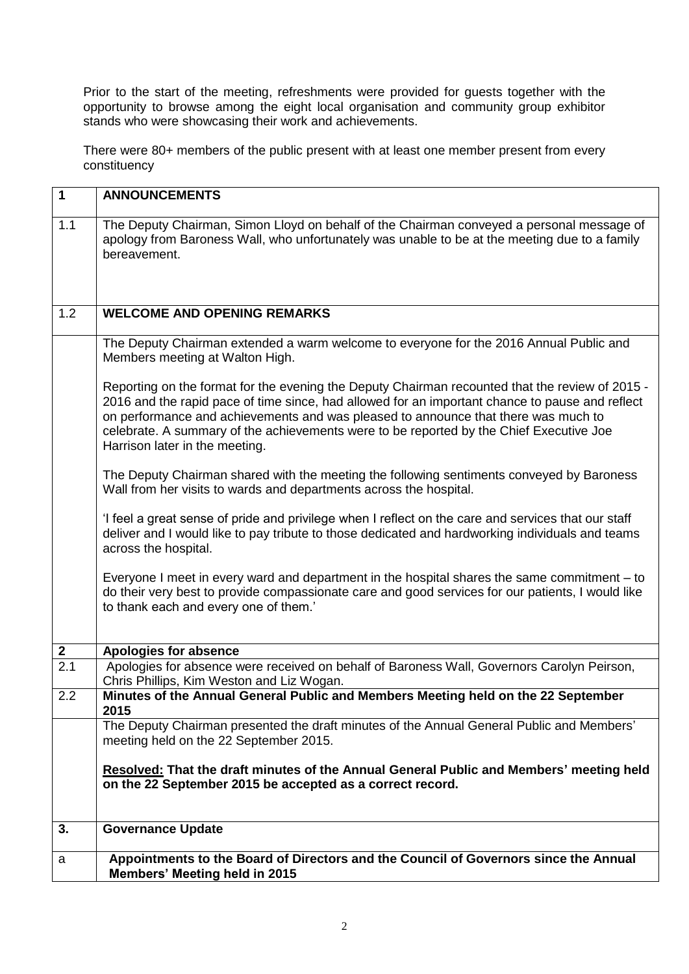Prior to the start of the meeting, refreshments were provided for guests together with the opportunity to browse among the eight local organisation and community group exhibitor stands who were showcasing their work and achievements.

There were 80+ members of the public present with at least one member present from every constituency

| $\mathbf 1$      | <b>ANNOUNCEMENTS</b>                                                                                                                                                                                                                                                                                                                                                                                                  |
|------------------|-----------------------------------------------------------------------------------------------------------------------------------------------------------------------------------------------------------------------------------------------------------------------------------------------------------------------------------------------------------------------------------------------------------------------|
| 1.1              | The Deputy Chairman, Simon Lloyd on behalf of the Chairman conveyed a personal message of<br>apology from Baroness Wall, who unfortunately was unable to be at the meeting due to a family<br>bereavement.                                                                                                                                                                                                            |
| 1.2              | <b>WELCOME AND OPENING REMARKS</b>                                                                                                                                                                                                                                                                                                                                                                                    |
|                  | The Deputy Chairman extended a warm welcome to everyone for the 2016 Annual Public and<br>Members meeting at Walton High.                                                                                                                                                                                                                                                                                             |
|                  | Reporting on the format for the evening the Deputy Chairman recounted that the review of 2015 -<br>2016 and the rapid pace of time since, had allowed for an important chance to pause and reflect<br>on performance and achievements and was pleased to announce that there was much to<br>celebrate. A summary of the achievements were to be reported by the Chief Executive Joe<br>Harrison later in the meeting. |
|                  | The Deputy Chairman shared with the meeting the following sentiments conveyed by Baroness<br>Wall from her visits to wards and departments across the hospital.                                                                                                                                                                                                                                                       |
|                  | I feel a great sense of pride and privilege when I reflect on the care and services that our staff<br>deliver and I would like to pay tribute to those dedicated and hardworking individuals and teams<br>across the hospital.                                                                                                                                                                                        |
|                  | Everyone I meet in every ward and department in the hospital shares the same commitment – to<br>do their very best to provide compassionate care and good services for our patients, I would like<br>to thank each and every one of them.'                                                                                                                                                                            |
| $\boldsymbol{2}$ | <b>Apologies for absence</b>                                                                                                                                                                                                                                                                                                                                                                                          |
| $\overline{2.1}$ | Apologies for absence were received on behalf of Baroness Wall, Governors Carolyn Peirson,<br>Chris Phillips, Kim Weston and Liz Wogan.                                                                                                                                                                                                                                                                               |
| 2.2              | Minutes of the Annual General Public and Members Meeting held on the 22 September<br>2015                                                                                                                                                                                                                                                                                                                             |
|                  | The Deputy Chairman presented the draft minutes of the Annual General Public and Members'<br>meeting held on the 22 September 2015.                                                                                                                                                                                                                                                                                   |
|                  | Resolved: That the draft minutes of the Annual General Public and Members' meeting held<br>on the 22 September 2015 be accepted as a correct record.                                                                                                                                                                                                                                                                  |
| 3.               | <b>Governance Update</b>                                                                                                                                                                                                                                                                                                                                                                                              |
| a                | Appointments to the Board of Directors and the Council of Governors since the Annual<br><b>Members' Meeting held in 2015</b>                                                                                                                                                                                                                                                                                          |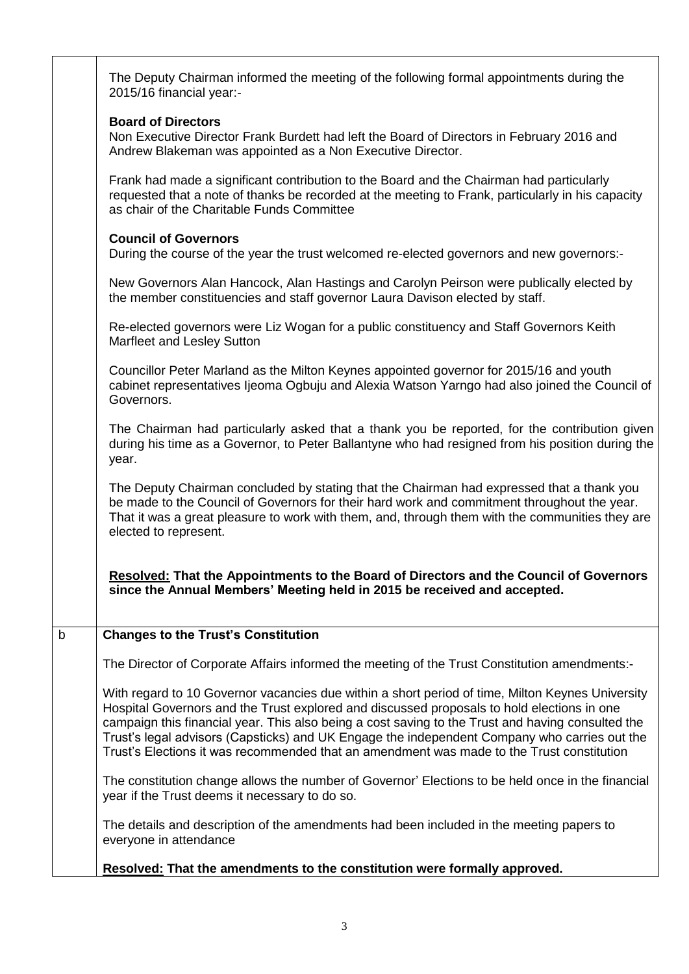|             | The Deputy Chairman informed the meeting of the following formal appointments during the<br>2015/16 financial year:-                                                                                                                                                                                                                                                                                                                                                                             |
|-------------|--------------------------------------------------------------------------------------------------------------------------------------------------------------------------------------------------------------------------------------------------------------------------------------------------------------------------------------------------------------------------------------------------------------------------------------------------------------------------------------------------|
|             | <b>Board of Directors</b>                                                                                                                                                                                                                                                                                                                                                                                                                                                                        |
|             | Non Executive Director Frank Burdett had left the Board of Directors in February 2016 and<br>Andrew Blakeman was appointed as a Non Executive Director.                                                                                                                                                                                                                                                                                                                                          |
|             | Frank had made a significant contribution to the Board and the Chairman had particularly<br>requested that a note of thanks be recorded at the meeting to Frank, particularly in his capacity<br>as chair of the Charitable Funds Committee                                                                                                                                                                                                                                                      |
|             | <b>Council of Governors</b><br>During the course of the year the trust welcomed re-elected governors and new governors:-                                                                                                                                                                                                                                                                                                                                                                         |
|             | New Governors Alan Hancock, Alan Hastings and Carolyn Peirson were publically elected by<br>the member constituencies and staff governor Laura Davison elected by staff.                                                                                                                                                                                                                                                                                                                         |
|             | Re-elected governors were Liz Wogan for a public constituency and Staff Governors Keith<br>Marfleet and Lesley Sutton                                                                                                                                                                                                                                                                                                                                                                            |
|             | Councillor Peter Marland as the Milton Keynes appointed governor for 2015/16 and youth<br>cabinet representatives Ijeoma Ogbuju and Alexia Watson Yarngo had also joined the Council of<br>Governors.                                                                                                                                                                                                                                                                                            |
|             | The Chairman had particularly asked that a thank you be reported, for the contribution given<br>during his time as a Governor, to Peter Ballantyne who had resigned from his position during the<br>year.                                                                                                                                                                                                                                                                                        |
|             | The Deputy Chairman concluded by stating that the Chairman had expressed that a thank you<br>be made to the Council of Governors for their hard work and commitment throughout the year.<br>That it was a great pleasure to work with them, and, through them with the communities they are<br>elected to represent.                                                                                                                                                                             |
|             | Resolved: That the Appointments to the Board of Directors and the Council of Governors<br>since the Annual Members' Meeting held in 2015 be received and accepted.                                                                                                                                                                                                                                                                                                                               |
| $\mathbf b$ | <b>Changes to the Trust's Constitution</b>                                                                                                                                                                                                                                                                                                                                                                                                                                                       |
|             | The Director of Corporate Affairs informed the meeting of the Trust Constitution amendments:-                                                                                                                                                                                                                                                                                                                                                                                                    |
|             | With regard to 10 Governor vacancies due within a short period of time, Milton Keynes University<br>Hospital Governors and the Trust explored and discussed proposals to hold elections in one<br>campaign this financial year. This also being a cost saving to the Trust and having consulted the<br>Trust's legal advisors (Capsticks) and UK Engage the independent Company who carries out the<br>Trust's Elections it was recommended that an amendment was made to the Trust constitution |
|             | The constitution change allows the number of Governor' Elections to be held once in the financial<br>year if the Trust deems it necessary to do so.                                                                                                                                                                                                                                                                                                                                              |
|             | The details and description of the amendments had been included in the meeting papers to<br>everyone in attendance                                                                                                                                                                                                                                                                                                                                                                               |
|             | Resolved: That the amendments to the constitution were formally approved.                                                                                                                                                                                                                                                                                                                                                                                                                        |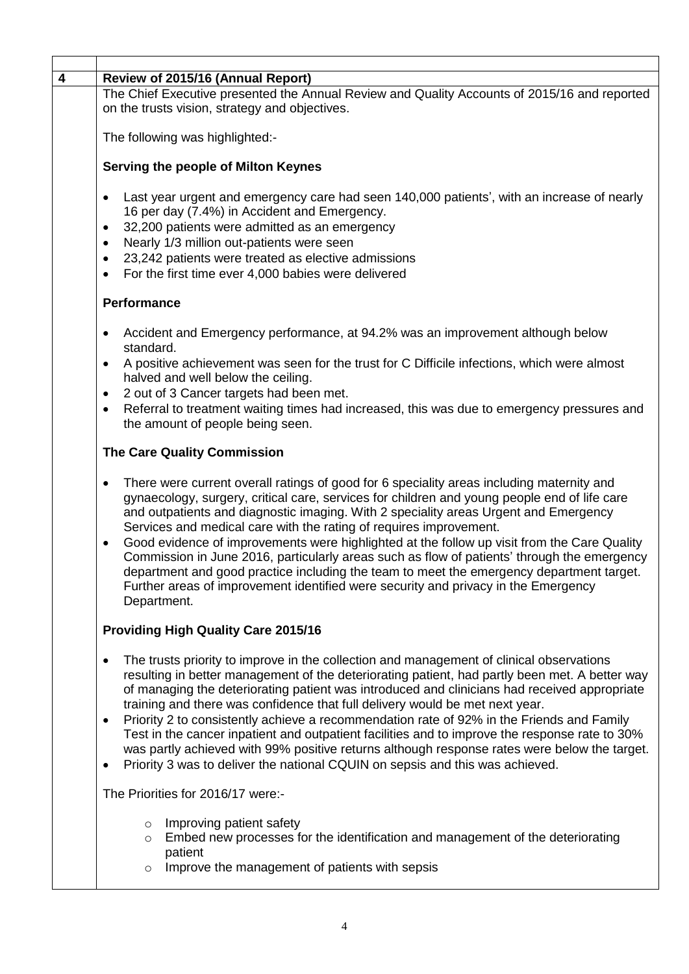| Review of 2015/16 (Annual Report)                                                                                                                                                                                                                                                                                                                                                                                                                                                                                                                                                                                                                                                                                                                                                         |  |  |
|-------------------------------------------------------------------------------------------------------------------------------------------------------------------------------------------------------------------------------------------------------------------------------------------------------------------------------------------------------------------------------------------------------------------------------------------------------------------------------------------------------------------------------------------------------------------------------------------------------------------------------------------------------------------------------------------------------------------------------------------------------------------------------------------|--|--|
| The Chief Executive presented the Annual Review and Quality Accounts of 2015/16 and reported<br>on the trusts vision, strategy and objectives.                                                                                                                                                                                                                                                                                                                                                                                                                                                                                                                                                                                                                                            |  |  |
| The following was highlighted:-                                                                                                                                                                                                                                                                                                                                                                                                                                                                                                                                                                                                                                                                                                                                                           |  |  |
| Serving the people of Milton Keynes                                                                                                                                                                                                                                                                                                                                                                                                                                                                                                                                                                                                                                                                                                                                                       |  |  |
| Last year urgent and emergency care had seen 140,000 patients', with an increase of nearly<br>$\bullet$<br>16 per day (7.4%) in Accident and Emergency.<br>32,200 patients were admitted as an emergency<br>٠<br>Nearly 1/3 million out-patients were seen<br>$\bullet$<br>23,242 patients were treated as elective admissions<br>$\bullet$<br>For the first time ever 4,000 babies were delivered<br>$\bullet$                                                                                                                                                                                                                                                                                                                                                                           |  |  |
| Performance                                                                                                                                                                                                                                                                                                                                                                                                                                                                                                                                                                                                                                                                                                                                                                               |  |  |
| Accident and Emergency performance, at 94.2% was an improvement although below<br>$\bullet$<br>standard.                                                                                                                                                                                                                                                                                                                                                                                                                                                                                                                                                                                                                                                                                  |  |  |
| A positive achievement was seen for the trust for C Difficile infections, which were almost<br>$\bullet$<br>halved and well below the ceiling.<br>2 out of 3 Cancer targets had been met.<br>$\bullet$                                                                                                                                                                                                                                                                                                                                                                                                                                                                                                                                                                                    |  |  |
| Referral to treatment waiting times had increased, this was due to emergency pressures and<br>$\bullet$<br>the amount of people being seen.                                                                                                                                                                                                                                                                                                                                                                                                                                                                                                                                                                                                                                               |  |  |
| <b>The Care Quality Commission</b>                                                                                                                                                                                                                                                                                                                                                                                                                                                                                                                                                                                                                                                                                                                                                        |  |  |
| There were current overall ratings of good for 6 speciality areas including maternity and<br>$\bullet$<br>gynaecology, surgery, critical care, services for children and young people end of life care<br>and outpatients and diagnostic imaging. With 2 speciality areas Urgent and Emergency<br>Services and medical care with the rating of requires improvement.<br>Good evidence of improvements were highlighted at the follow up visit from the Care Quality<br>٠<br>Commission in June 2016, particularly areas such as flow of patients' through the emergency<br>department and good practice including the team to meet the emergency department target.<br>Further areas of improvement identified were security and privacy in the Emergency<br>Department.                  |  |  |
| <b>Providing High Quality Care 2015/16</b>                                                                                                                                                                                                                                                                                                                                                                                                                                                                                                                                                                                                                                                                                                                                                |  |  |
| The trusts priority to improve in the collection and management of clinical observations<br>$\bullet$<br>resulting in better management of the deteriorating patient, had partly been met. A better way<br>of managing the deteriorating patient was introduced and clinicians had received appropriate<br>training and there was confidence that full delivery would be met next year.<br>Priority 2 to consistently achieve a recommendation rate of 92% in the Friends and Family<br>٠<br>Test in the cancer inpatient and outpatient facilities and to improve the response rate to 30%<br>was partly achieved with 99% positive returns although response rates were below the target.<br>Priority 3 was to deliver the national CQUIN on sepsis and this was achieved.<br>$\bullet$ |  |  |
| The Priorities for 2016/17 were:-                                                                                                                                                                                                                                                                                                                                                                                                                                                                                                                                                                                                                                                                                                                                                         |  |  |
| Improving patient safety<br>$\circ$<br>Embed new processes for the identification and management of the deteriorating<br>$\circ$<br>patient<br>Improve the management of patients with sepsis<br>$\circ$                                                                                                                                                                                                                                                                                                                                                                                                                                                                                                                                                                                  |  |  |
|                                                                                                                                                                                                                                                                                                                                                                                                                                                                                                                                                                                                                                                                                                                                                                                           |  |  |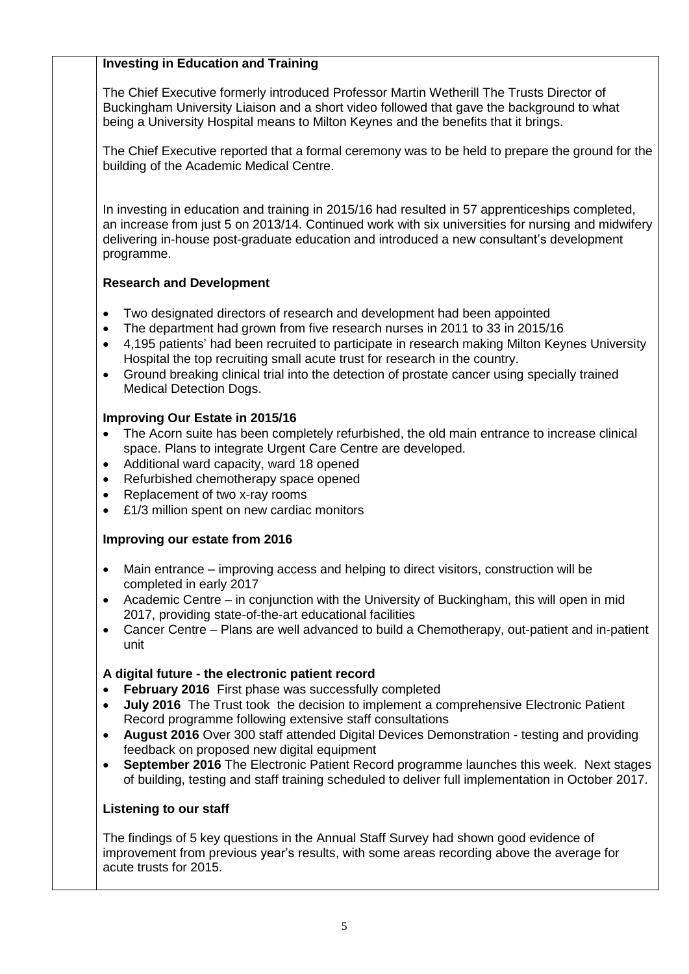### **Investing in Education and Training**

The Chief Executive formerly introduced Professor Martin Wetherill The Trusts Director of Buckingham University Liaison and a short video followed that gave the background to what being a University Hospital means to Milton Keynes and the benefits that it brings.

The Chief Executive reported that a formal ceremony was to be held to prepare the ground for the building of the Academic Medical Centre.

In investing in education and training in 2015/16 had resulted in 57 apprenticeships completed, an increase from just 5 on 2013/14. Continued work with six universities for nursing and midwifery delivering in-house post-graduate education and introduced a new consultant's development programme.

#### **Research and Development**

- Two designated directors of research and development had been appointed
- The department had grown from five research nurses in 2011 to 33 in 2015/16
- 4,195 patients' had been recruited to participate in research making Milton Keynes University Hospital the top recruiting small acute trust for research in the country.
- Ground breaking clinical trial into the detection of prostate cancer using specially trained Medical Detection Dogs.

#### **Improving Our Estate in 2015/16**

- The Acorn suite has been completely refurbished, the old main entrance to increase clinical space. Plans to integrate Urgent Care Centre are developed.
- Additional ward capacity, ward 18 opened
- Refurbished chemotherapy space opened
- Replacement of two x-ray rooms
- £1/3 million spent on new cardiac monitors

#### **Improving our estate from 2016**

- Main entrance improving access and helping to direct visitors, construction will be completed in early 2017
- Academic Centre in conjunction with the University of Buckingham, this will open in mid 2017, providing state-of-the-art educational facilities
- Cancer Centre Plans are well advanced to build a Chemotherapy, out-patient and in-patient unit

#### **A digital future - the electronic patient record**

- **February 2016** First phase was successfully completed
- **July 2016** The Trust took the decision to implement a comprehensive Electronic Patient Record programme following extensive staff consultations
- **August 2016** Over 300 staff attended Digital Devices Demonstration testing and providing feedback on proposed new digital equipment
- **September 2016** The Electronic Patient Record programme launches this week. Next stages of building, testing and staff training scheduled to deliver full implementation in October 2017.

#### **Listening to our staff**

The findings of 5 key questions in the Annual Staff Survey had shown good evidence of improvement from previous year's results, with some areas recording above the average for acute trusts for 2015.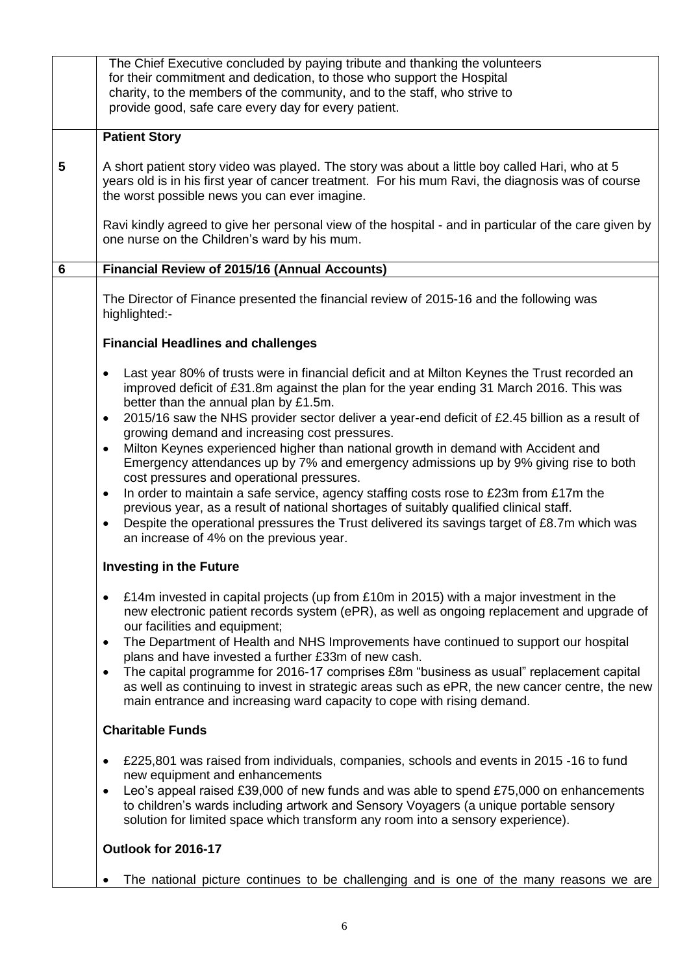|   | The Chief Executive concluded by paying tribute and thanking the volunteers<br>for their commitment and dedication, to those who support the Hospital                                                                                                                                                                                               |
|---|-----------------------------------------------------------------------------------------------------------------------------------------------------------------------------------------------------------------------------------------------------------------------------------------------------------------------------------------------------|
|   | charity, to the members of the community, and to the staff, who strive to<br>provide good, safe care every day for every patient.                                                                                                                                                                                                                   |
|   |                                                                                                                                                                                                                                                                                                                                                     |
|   | <b>Patient Story</b>                                                                                                                                                                                                                                                                                                                                |
| 5 | A short patient story video was played. The story was about a little boy called Hari, who at 5<br>years old is in his first year of cancer treatment. For his mum Ravi, the diagnosis was of course<br>the worst possible news you can ever imagine.                                                                                                |
|   | Ravi kindly agreed to give her personal view of the hospital - and in particular of the care given by<br>one nurse on the Children's ward by his mum.                                                                                                                                                                                               |
| 6 | Financial Review of 2015/16 (Annual Accounts)                                                                                                                                                                                                                                                                                                       |
|   | The Director of Finance presented the financial review of 2015-16 and the following was<br>highlighted:-                                                                                                                                                                                                                                            |
|   | <b>Financial Headlines and challenges</b>                                                                                                                                                                                                                                                                                                           |
|   | Last year 80% of trusts were in financial deficit and at Milton Keynes the Trust recorded an<br>improved deficit of £31.8m against the plan for the year ending 31 March 2016. This was<br>better than the annual plan by £1.5m.                                                                                                                    |
|   | 2015/16 saw the NHS provider sector deliver a year-end deficit of £2.45 billion as a result of<br>$\bullet$<br>growing demand and increasing cost pressures.                                                                                                                                                                                        |
|   | Milton Keynes experienced higher than national growth in demand with Accident and<br>$\bullet$<br>Emergency attendances up by 7% and emergency admissions up by 9% giving rise to both<br>cost pressures and operational pressures.                                                                                                                 |
|   | In order to maintain a safe service, agency staffing costs rose to £23m from £17m the<br>$\bullet$<br>previous year, as a result of national shortages of suitably qualified clinical staff.<br>Despite the operational pressures the Trust delivered its savings target of £8.7m which was<br>$\bullet$<br>an increase of 4% on the previous year. |
|   | <b>Investing in the Future</b>                                                                                                                                                                                                                                                                                                                      |
|   | £14m invested in capital projects (up from £10m in 2015) with a major investment in the<br>$\bullet$<br>new electronic patient records system (ePR), as well as ongoing replacement and upgrade of<br>our facilities and equipment;                                                                                                                 |
|   | The Department of Health and NHS Improvements have continued to support our hospital<br>$\bullet$<br>plans and have invested a further £33m of new cash.                                                                                                                                                                                            |
|   | The capital programme for 2016-17 comprises £8m "business as usual" replacement capital<br>$\bullet$<br>as well as continuing to invest in strategic areas such as ePR, the new cancer centre, the new<br>main entrance and increasing ward capacity to cope with rising demand.                                                                    |
|   | <b>Charitable Funds</b>                                                                                                                                                                                                                                                                                                                             |
|   | £225,801 was raised from individuals, companies, schools and events in 2015 -16 to fund<br>new equipment and enhancements                                                                                                                                                                                                                           |
|   | Leo's appeal raised £39,000 of new funds and was able to spend £75,000 on enhancements<br>٠<br>to children's wards including artwork and Sensory Voyagers (a unique portable sensory<br>solution for limited space which transform any room into a sensory experience).                                                                             |
|   | Outlook for 2016-17                                                                                                                                                                                                                                                                                                                                 |
|   | The national picture continues to be challenging and is one of the many reasons we are                                                                                                                                                                                                                                                              |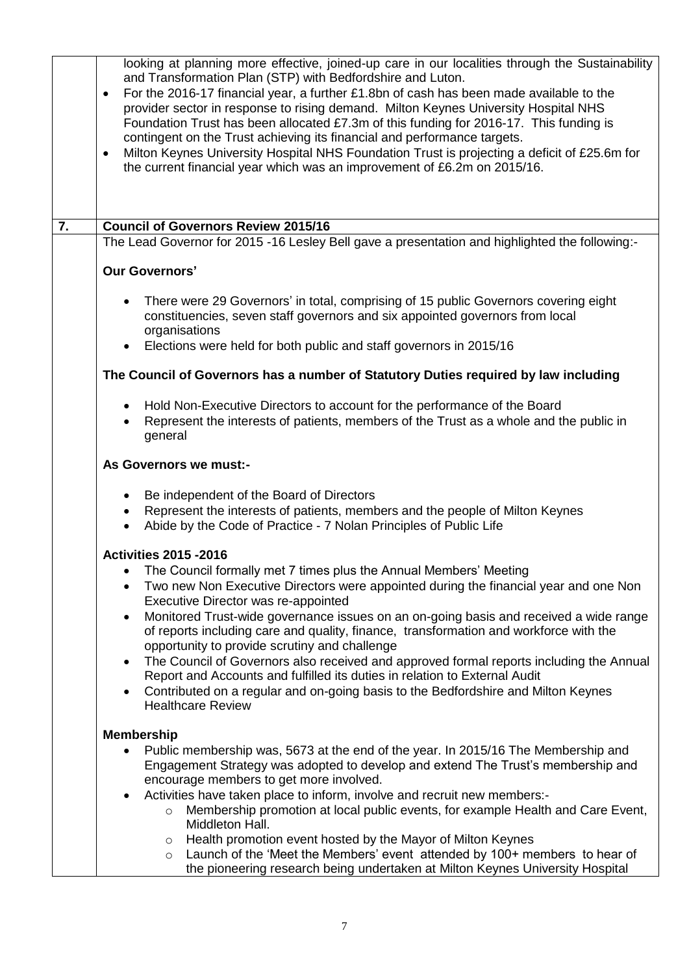| Milton Keynes University Hospital NHS Foundation Trust is projecting a deficit of £25.6m for<br>The Lead Governor for 2015 -16 Lesley Bell gave a presentation and highlighted the following:- |
|------------------------------------------------------------------------------------------------------------------------------------------------------------------------------------------------|
|                                                                                                                                                                                                |
|                                                                                                                                                                                                |
|                                                                                                                                                                                                |
|                                                                                                                                                                                                |
|                                                                                                                                                                                                |
|                                                                                                                                                                                                |
|                                                                                                                                                                                                |
|                                                                                                                                                                                                |
|                                                                                                                                                                                                |
|                                                                                                                                                                                                |
|                                                                                                                                                                                                |
|                                                                                                                                                                                                |
|                                                                                                                                                                                                |
|                                                                                                                                                                                                |
|                                                                                                                                                                                                |
|                                                                                                                                                                                                |
|                                                                                                                                                                                                |
|                                                                                                                                                                                                |
|                                                                                                                                                                                                |
|                                                                                                                                                                                                |
|                                                                                                                                                                                                |
|                                                                                                                                                                                                |
|                                                                                                                                                                                                |
|                                                                                                                                                                                                |
| Two new Non Executive Directors were appointed during the financial year and one Non                                                                                                           |
| Monitored Trust-wide governance issues on an on-going basis and received a wide range                                                                                                          |
|                                                                                                                                                                                                |
| The Council of Governors also received and approved formal reports including the Annual                                                                                                        |
|                                                                                                                                                                                                |
|                                                                                                                                                                                                |
|                                                                                                                                                                                                |
|                                                                                                                                                                                                |
| Engagement Strategy was adopted to develop and extend The Trust's membership and                                                                                                               |
|                                                                                                                                                                                                |
|                                                                                                                                                                                                |
| Membership promotion at local public events, for example Health and Care Event,                                                                                                                |
|                                                                                                                                                                                                |
|                                                                                                                                                                                                |
| Launch of the 'Meet the Members' event attended by 100+ members to hear of                                                                                                                     |
|                                                                                                                                                                                                |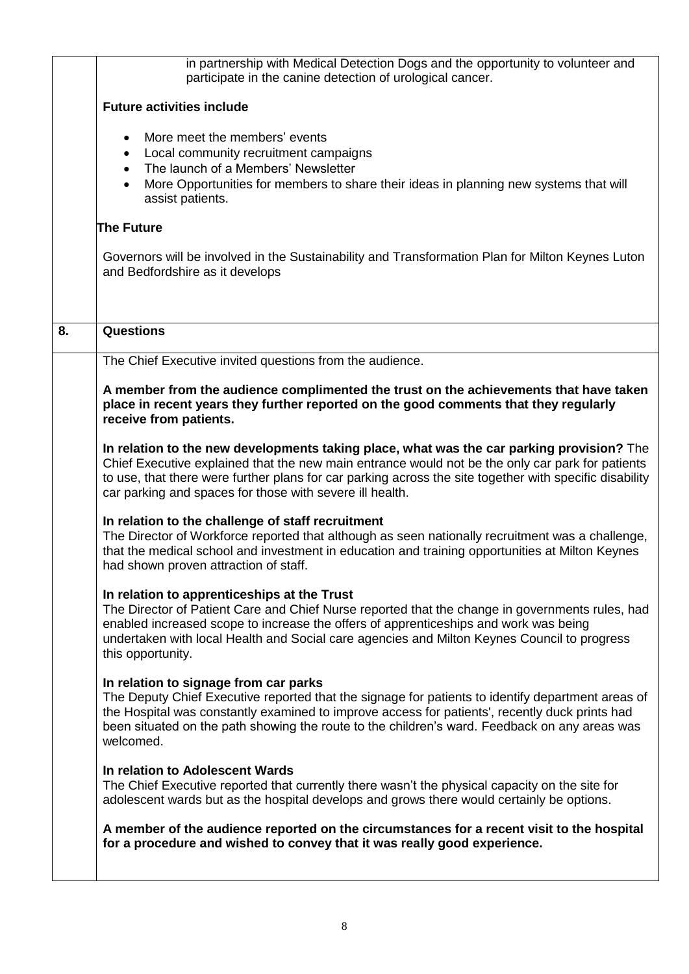|    | in partnership with Medical Detection Dogs and the opportunity to volunteer and<br>participate in the canine detection of urological cancer.                                                                                                                                                                                                                         |
|----|----------------------------------------------------------------------------------------------------------------------------------------------------------------------------------------------------------------------------------------------------------------------------------------------------------------------------------------------------------------------|
|    | <b>Future activities include</b>                                                                                                                                                                                                                                                                                                                                     |
|    | More meet the members' events<br>$\bullet$<br>Local community recruitment campaigns<br>$\bullet$<br>The launch of a Members' Newsletter<br>$\bullet$<br>More Opportunities for members to share their ideas in planning new systems that will<br>assist patients.                                                                                                    |
|    | <b>The Future</b>                                                                                                                                                                                                                                                                                                                                                    |
|    | Governors will be involved in the Sustainability and Transformation Plan for Milton Keynes Luton<br>and Bedfordshire as it develops                                                                                                                                                                                                                                  |
| 8. | <b>Questions</b>                                                                                                                                                                                                                                                                                                                                                     |
|    | The Chief Executive invited questions from the audience.                                                                                                                                                                                                                                                                                                             |
|    | A member from the audience complimented the trust on the achievements that have taken<br>place in recent years they further reported on the good comments that they regularly<br>receive from patients.                                                                                                                                                              |
|    | In relation to the new developments taking place, what was the car parking provision? The<br>Chief Executive explained that the new main entrance would not be the only car park for patients<br>to use, that there were further plans for car parking across the site together with specific disability<br>car parking and spaces for those with severe ill health. |
|    | In relation to the challenge of staff recruitment<br>The Director of Workforce reported that although as seen nationally recruitment was a challenge,<br>that the medical school and investment in education and training opportunities at Milton Keynes<br>had shown proven attraction of staff.                                                                    |
|    | In relation to apprenticeships at the Trust<br>The Director of Patient Care and Chief Nurse reported that the change in governments rules, had<br>enabled increased scope to increase the offers of apprenticeships and work was being<br>undertaken with local Health and Social care agencies and Milton Keynes Council to progress<br>this opportunity.           |
|    | In relation to signage from car parks<br>The Deputy Chief Executive reported that the signage for patients to identify department areas of<br>the Hospital was constantly examined to improve access for patients', recently duck prints had<br>been situated on the path showing the route to the children's ward. Feedback on any areas was<br>welcomed.           |
|    | In relation to Adolescent Wards<br>The Chief Executive reported that currently there wasn't the physical capacity on the site for<br>adolescent wards but as the hospital develops and grows there would certainly be options.                                                                                                                                       |
|    | A member of the audience reported on the circumstances for a recent visit to the hospital<br>for a procedure and wished to convey that it was really good experience.                                                                                                                                                                                                |
|    |                                                                                                                                                                                                                                                                                                                                                                      |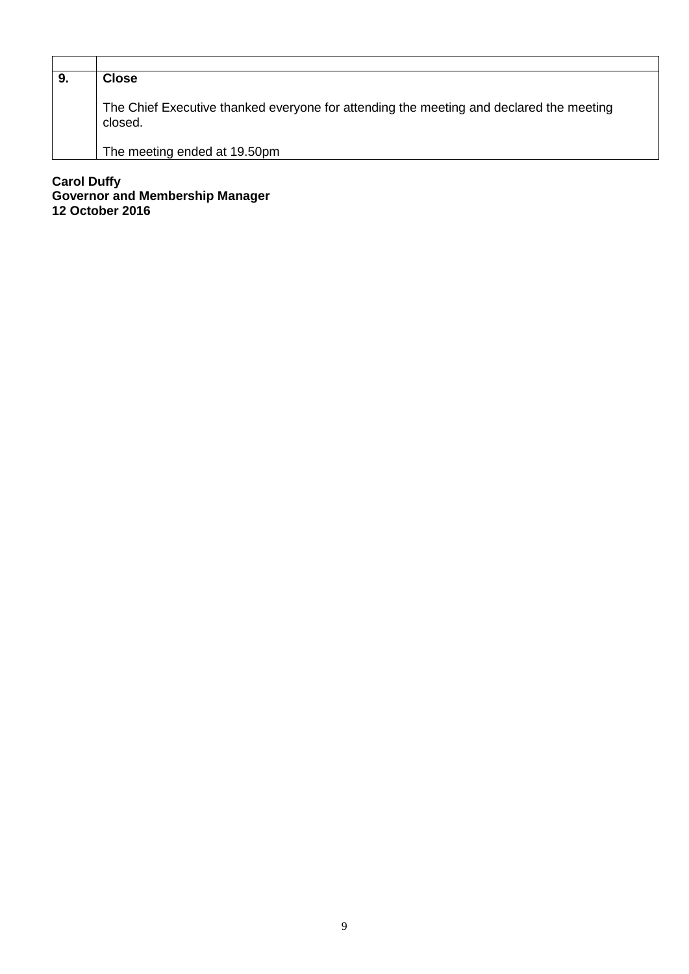| 9. | <b>Close</b>                                                                                       |
|----|----------------------------------------------------------------------------------------------------|
|    | The Chief Executive thanked everyone for attending the meeting and declared the meeting<br>closed. |
|    | The meeting ended at 19.50pm                                                                       |

**Carol Duffy Governor and Membership Manager 12 October 2016**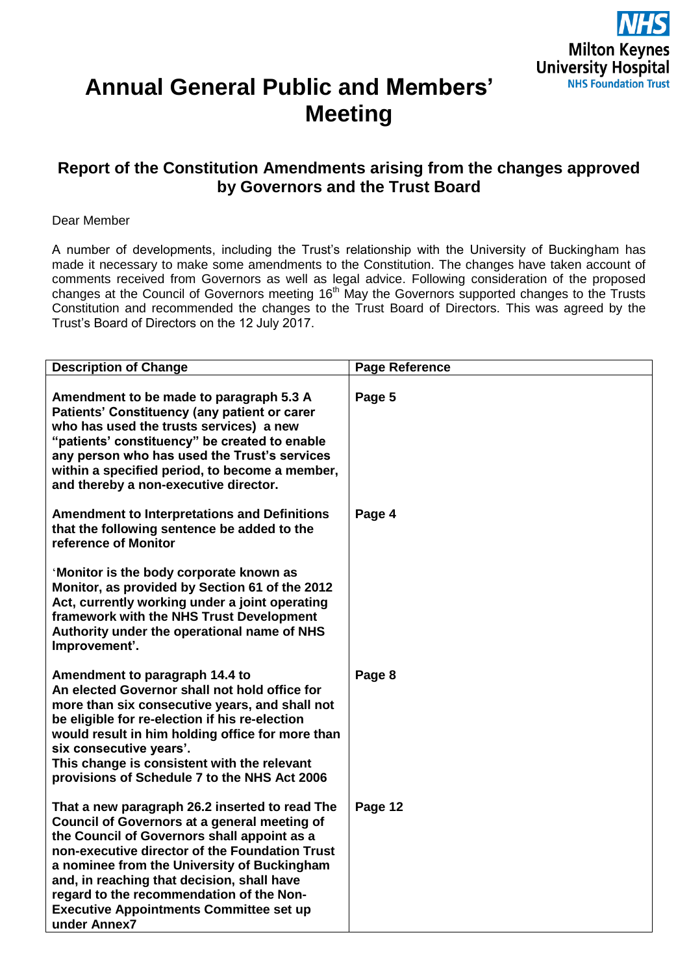

# **Annual General Public and Members' Meeting**

## **Report of the Constitution Amendments arising from the changes approved by Governors and the Trust Board**

#### Dear Member

A number of developments, including the Trust's relationship with the University of Buckingham has made it necessary to make some amendments to the Constitution. The changes have taken account of comments received from Governors as well as legal advice. Following consideration of the proposed changes at the Council of Governors meeting 16<sup>th</sup> May the Governors supported changes to the Trusts Constitution and recommended the changes to the Trust Board of Directors. This was agreed by the Trust's Board of Directors on the 12 July 2017.

| <b>Description of Change</b>                                                                                                                                                                                                                                                                                                                                                                               | <b>Page Reference</b> |
|------------------------------------------------------------------------------------------------------------------------------------------------------------------------------------------------------------------------------------------------------------------------------------------------------------------------------------------------------------------------------------------------------------|-----------------------|
| Amendment to be made to paragraph 5.3 A<br>Patients' Constituency (any patient or carer<br>who has used the trusts services) a new<br>"patients' constituency" be created to enable<br>any person who has used the Trust's services<br>within a specified period, to become a member,<br>and thereby a non-executive director.                                                                             | Page 5                |
| <b>Amendment to Interpretations and Definitions</b><br>that the following sentence be added to the<br>reference of Monitor                                                                                                                                                                                                                                                                                 | Page 4                |
| 'Monitor is the body corporate known as<br>Monitor, as provided by Section 61 of the 2012<br>Act, currently working under a joint operating<br>framework with the NHS Trust Development<br>Authority under the operational name of NHS<br>Improvement'.                                                                                                                                                    |                       |
| Amendment to paragraph 14.4 to<br>An elected Governor shall not hold office for<br>more than six consecutive years, and shall not<br>be eligible for re-election if his re-election<br>would result in him holding office for more than<br>six consecutive years'.<br>This change is consistent with the relevant<br>provisions of Schedule 7 to the NHS Act 2006                                          | Page 8                |
| That a new paragraph 26.2 inserted to read The<br>Council of Governors at a general meeting of<br>the Council of Governors shall appoint as a<br>non-executive director of the Foundation Trust<br>a nominee from the University of Buckingham<br>and, in reaching that decision, shall have<br>regard to the recommendation of the Non-<br><b>Executive Appointments Committee set up</b><br>under Annex7 | Page 12               |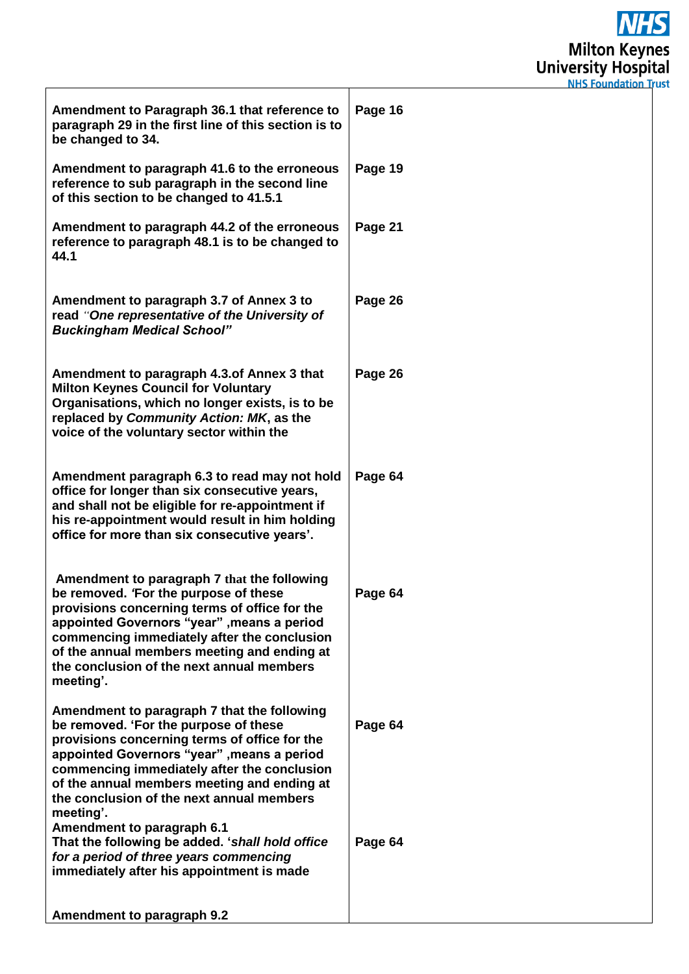**NHS Milton Keynes**<br>University Hospital<br>
NHS Foundation Trust

| Amendment to Paragraph 36.1 that reference to<br>paragraph 29 in the first line of this section is to<br>be changed to 34.                                                                                                                                                                                                                  | Page 16 |
|---------------------------------------------------------------------------------------------------------------------------------------------------------------------------------------------------------------------------------------------------------------------------------------------------------------------------------------------|---------|
| Amendment to paragraph 41.6 to the erroneous<br>reference to sub paragraph in the second line<br>of this section to be changed to 41.5.1                                                                                                                                                                                                    | Page 19 |
| Amendment to paragraph 44.2 of the erroneous<br>reference to paragraph 48.1 is to be changed to<br>44.1                                                                                                                                                                                                                                     | Page 21 |
| Amendment to paragraph 3.7 of Annex 3 to<br>read "One representative of the University of<br><b>Buckingham Medical School"</b>                                                                                                                                                                                                              | Page 26 |
| Amendment to paragraph 4.3.of Annex 3 that<br><b>Milton Keynes Council for Voluntary</b><br>Organisations, which no longer exists, is to be<br>replaced by Community Action: MK, as the<br>voice of the voluntary sector within the                                                                                                         | Page 26 |
| Amendment paragraph 6.3 to read may not hold<br>office for longer than six consecutive years,<br>and shall not be eligible for re-appointment if<br>his re-appointment would result in him holding<br>office for more than six consecutive years'.                                                                                          | Page 64 |
| Amendment to paragraph 7 that the following<br>be removed. 'For the purpose of these<br>provisions concerning terms of office for the<br>appointed Governors "year", means a period<br>commencing immediately after the conclusion<br>of the annual members meeting and ending at<br>the conclusion of the next annual members<br>meeting'. | Page 64 |
| Amendment to paragraph 7 that the following<br>be removed. 'For the purpose of these<br>provisions concerning terms of office for the<br>appointed Governors "year", means a period<br>commencing immediately after the conclusion<br>of the annual members meeting and ending at<br>the conclusion of the next annual members<br>meeting'. | Page 64 |
| Amendment to paragraph 6.1<br>That the following be added. 'shall hold office<br>for a period of three years commencing<br>immediately after his appointment is made                                                                                                                                                                        | Page 64 |
| Amendment to paragraph 9.2                                                                                                                                                                                                                                                                                                                  |         |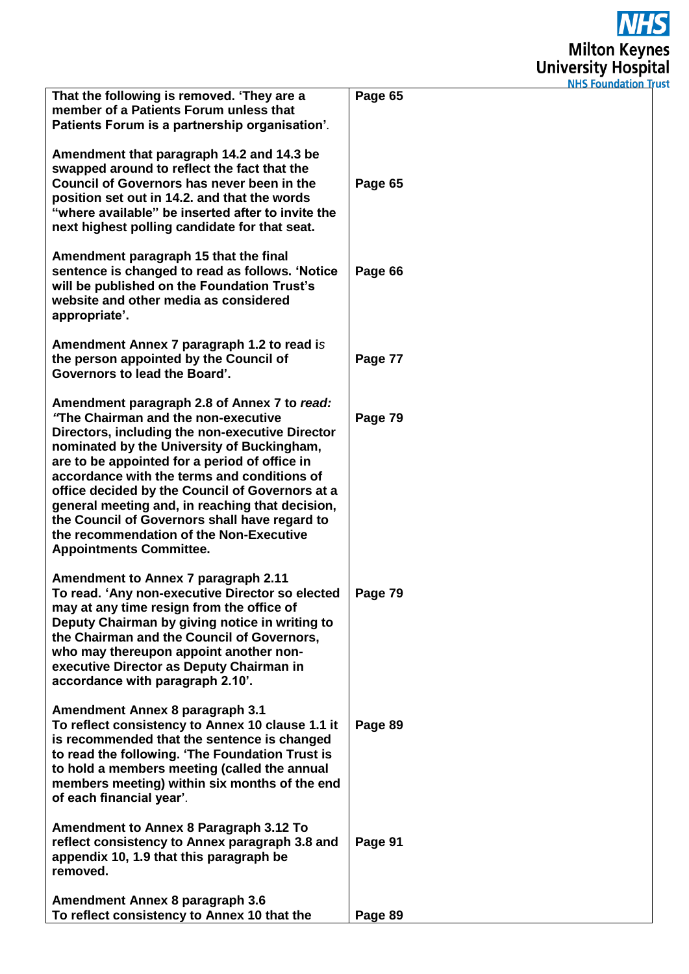

|                                                                                                                                                                                                                                                                                                                                                                                                                                                                                                                         | NHS Foundation ir |
|-------------------------------------------------------------------------------------------------------------------------------------------------------------------------------------------------------------------------------------------------------------------------------------------------------------------------------------------------------------------------------------------------------------------------------------------------------------------------------------------------------------------------|-------------------|
| That the following is removed. 'They are a<br>member of a Patients Forum unless that<br>Patients Forum is a partnership organisation'.                                                                                                                                                                                                                                                                                                                                                                                  | Page 65           |
| Amendment that paragraph 14.2 and 14.3 be<br>swapped around to reflect the fact that the<br>Council of Governors has never been in the<br>position set out in 14.2. and that the words<br>"where available" be inserted after to invite the<br>next highest polling candidate for that seat.                                                                                                                                                                                                                            | Page 65           |
| Amendment paragraph 15 that the final<br>sentence is changed to read as follows. 'Notice<br>will be published on the Foundation Trust's<br>website and other media as considered<br>appropriate'.                                                                                                                                                                                                                                                                                                                       | Page 66           |
| Amendment Annex 7 paragraph 1.2 to read is<br>the person appointed by the Council of<br>Governors to lead the Board'.                                                                                                                                                                                                                                                                                                                                                                                                   | Page 77           |
| Amendment paragraph 2.8 of Annex 7 to read:<br>"The Chairman and the non-executive<br>Directors, including the non-executive Director<br>nominated by the University of Buckingham,<br>are to be appointed for a period of office in<br>accordance with the terms and conditions of<br>office decided by the Council of Governors at a<br>general meeting and, in reaching that decision,<br>the Council of Governors shall have regard to<br>the recommendation of the Non-Executive<br><b>Appointments Committee.</b> | Page 79           |
| <b>Amendment to Annex 7 paragraph 2.11</b><br>To read. 'Any non-executive Director so elected<br>may at any time resign from the office of<br>Deputy Chairman by giving notice in writing to<br>the Chairman and the Council of Governors,<br>who may thereupon appoint another non-<br>executive Director as Deputy Chairman in<br>accordance with paragraph 2.10'.                                                                                                                                                    | Page 79           |
| Amendment Annex 8 paragraph 3.1<br>To reflect consistency to Annex 10 clause 1.1 it<br>is recommended that the sentence is changed<br>to read the following. 'The Foundation Trust is<br>to hold a members meeting (called the annual<br>members meeting) within six months of the end<br>of each financial year'.                                                                                                                                                                                                      | Page 89           |
| Amendment to Annex 8 Paragraph 3.12 To<br>reflect consistency to Annex paragraph 3.8 and<br>appendix 10, 1.9 that this paragraph be<br>removed.                                                                                                                                                                                                                                                                                                                                                                         | Page 91           |
| Amendment Annex 8 paragraph 3.6<br>To reflect consistency to Annex 10 that the                                                                                                                                                                                                                                                                                                                                                                                                                                          | Page 89           |